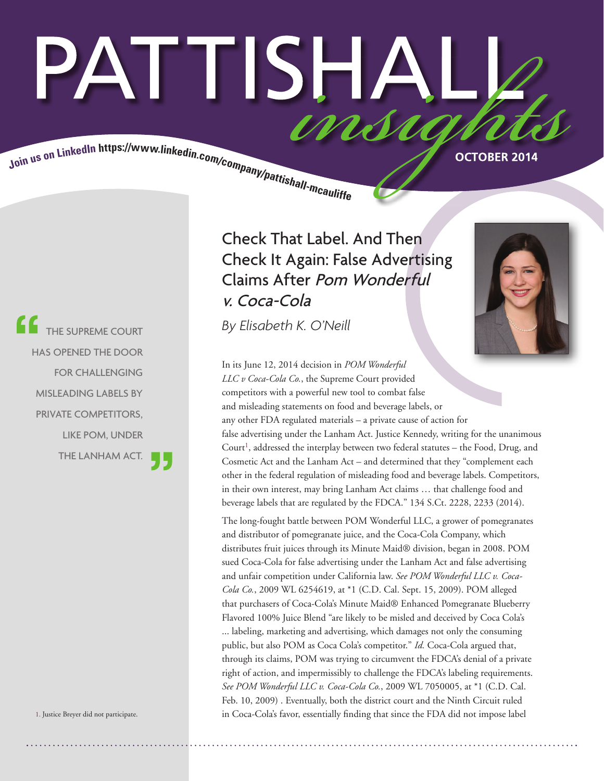# PATTISHAI Join us on LinkedIn https://www.linkedin.com/company/pattishall.mcaulist.

THE SUPREME COURT HAS OPENED THE DOOR FOR CHALLENGING MISLEADING LABELS BY PRIVATE COMPETITORS, LIKE POM, UNDER THE LANHAM ACT.

1. Justice Breyer did not participate.

 Check That Label. And Then Check It Again: False Advertising Claims After Pom Wonderful v. Coca-Cola

*By Elisabeth K. O'Neill*



In its June 12, 2014 decision in *POM Wonderful LLC v Coca-Cola Co.*, the Supreme Court provided competitors with a powerful new tool to combat false and misleading statements on food and beverage labels, or any other FDA regulated materials – a private cause of action for false advertising under the Lanham Act. Justice Kennedy, writing for the unanimous Court<sup>1</sup>, addressed the interplay between two federal statutes – the Food, Drug, and Cosmetic Act and the Lanham Act – and determined that they "complement each other in the federal regulation of misleading food and beverage labels. Competitors, in their own interest, may bring Lanham Act claims … that challenge food and beverage labels that are regulated by the FDCA." 134 S.Ct. 2228, 2233 (2014).

The long-fought battle between POM Wonderful LLC, a grower of pomegranates and distributor of pomegranate juice, and the Coca-Cola Company, which distributes fruit juices through its Minute Maid® division, began in 2008. POM sued Coca-Cola for false advertising under the Lanham Act and false advertising and unfair competition under California law. *See POM Wonderful LLC v. Coca-Cola Co.*, 2009 WL 6254619, at \*1 (C.D. Cal. Sept. 15, 2009). POM alleged that purchasers of Coca-Cola's Minute Maid® Enhanced Pomegranate Blueberry Flavored 100% Juice Blend "are likely to be misled and deceived by Coca Cola's ... labeling, marketing and advertising, which damages not only the consuming public, but also POM as Coca Cola's competitor." *Id.* Coca-Cola argued that, through its claims, POM was trying to circumvent the FDCA's denial of a private right of action, and impermissibly to challenge the FDCA's labeling requirements. *See POM Wonderful LLC v. Coca-Cola Co.*, 2009 WL 7050005, at \*1 (C.D. Cal. Feb. 10, 2009) . Eventually, both the district court and the Ninth Circuit ruled in Coca-Cola's favor, essentially finding that since the FDA did not impose label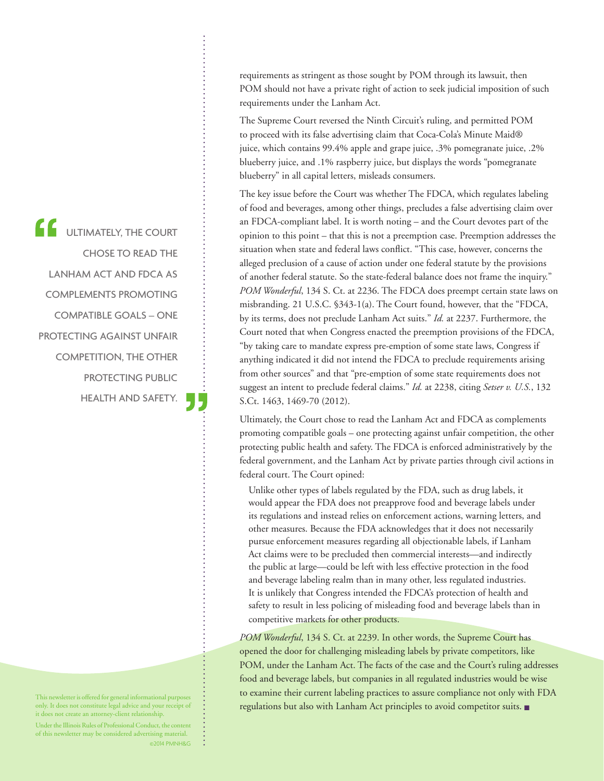ULTIMATELY, THE COURT CHOSE TO READ THE LANHAM ACT AND FDCA AS COMPLEMENTS PROMOTING COMPATIBLE GOALS – ONE PROTECTING AGAINST UNFAIR COMPETITION, THE OTHER PROTECTING PUBLIC HEALTH AND SAFETY.

This newsletter is offered for general informational purposes only. It does not constitute legal advice and your receipt of it does not create an attorney-client relationship.

Under the Illinois Rules of Professional Conduct, the content of this newsletter may be considered advertising material. ©2014 PMNH&G requirements as stringent as those sought by POM through its lawsuit, then POM should not have a private right of action to seek judicial imposition of such requirements under the Lanham Act.

The Supreme Court reversed the Ninth Circuit's ruling, and permitted POM to proceed with its false advertising claim that Coca-Cola's Minute Maid® juice, which contains 99.4% apple and grape juice, .3% pomegranate juice, .2% blueberry juice, and .1% raspberry juice, but displays the words "pomegranate blueberry" in all capital letters, misleads consumers.

The key issue before the Court was whether The FDCA, which regulates labeling of food and beverages, among other things, precludes a false advertising claim over an FDCA-compliant label. It is worth noting – and the Court devotes part of the opinion to this point – that this is not a preemption case. Preemption addresses the situation when state and federal laws conflict. "This case, however, concerns the alleged preclusion of a cause of action under one federal statute by the provisions of another federal statute. So the state-federal balance does not frame the inquiry." *POM Wonderful*, 134 S. Ct. at 2236. The FDCA does preempt certain state laws on misbranding. 21 U.S.C. §343-1(a). The Court found, however, that the "FDCA, by its terms, does not preclude Lanham Act suits." *Id.* at 2237. Furthermore, the Court noted that when Congress enacted the preemption provisions of the FDCA, "by taking care to mandate express pre-emption of some state laws, Congress if anything indicated it did not intend the FDCA to preclude requirements arising from other sources" and that "pre-emption of some state requirements does not suggest an intent to preclude federal claims." *Id.* at 2238, citing *Setser v. U.S.*, 132 S.Ct. 1463, 1469-70 (2012).

Ultimately, the Court chose to read the Lanham Act and FDCA as complements promoting compatible goals – one protecting against unfair competition, the other protecting public health and safety. The FDCA is enforced administratively by the federal government, and the Lanham Act by private parties through civil actions in federal court. The Court opined:

Unlike other types of labels regulated by the FDA, such as drug labels, it would appear the FDA does not preapprove food and beverage labels under its regulations and instead relies on enforcement actions, warning letters, and other measures. Because the FDA acknowledges that it does not necessarily pursue enforcement measures regarding all objectionable labels, if Lanham Act claims were to be precluded then commercial interests—and indirectly the public at large—could be left with less effective protection in the food and beverage labeling realm than in many other, less regulated industries. It is unlikely that Congress intended the FDCA's protection of health and safety to result in less policing of misleading food and beverage labels than in competitive markets for other products.

*POM Wonderful*, 134 S. Ct. at 2239. In other words, the Supreme Court has opened the door for challenging misleading labels by private competitors, like POM, under the Lanham Act. The facts of the case and the Court's ruling addresses food and beverage labels, but companies in all regulated industries would be wise to examine their current labeling practices to assure compliance not only with FDA regulations but also with Lanham Act principles to avoid competitor suits. ■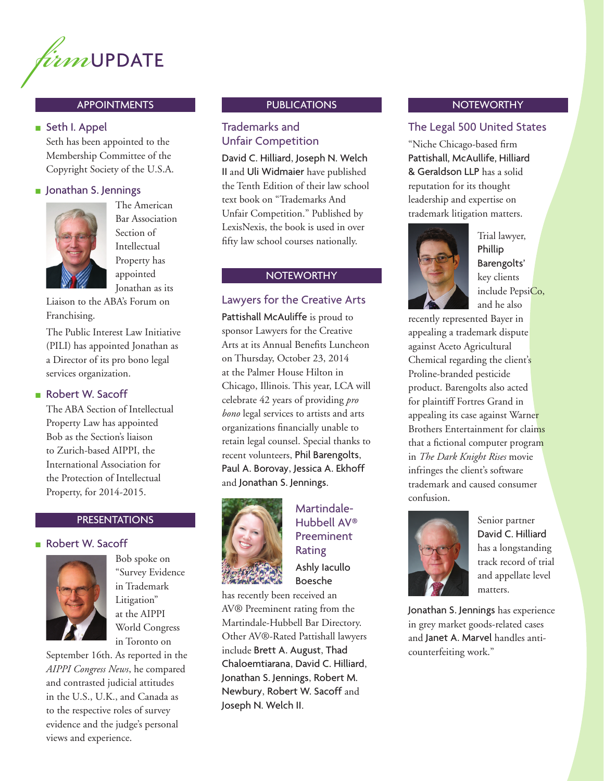

# APPOINTMENTS

### ■ Seth I. Appel

Seth has been appointed to the Membership Committee of the Copyright Society of the U.S.A.

### ■ Jonathan S. Jennings



The American Bar Association Section of Intellectual Property has appointed Jonathan as its

Liaison to the ABA's Forum on Franchising.

The Public Interest Law Initiative (PILI) has appointed Jonathan as a Director of its pro bono legal services organization.

# ■ Robert W. Sacoff

The ABA Section of Intellectual Property Law has appointed Bob as the Section's liaison to Zurich-based AIPPI, the International Association for the Protection of Intellectual Property, for 2014-2015.

# PRESENTATIONS

# ■ Robert W. Sacoff



Bob spoke on "Survey Evidence in Trademark Litigation" at the AIPPI World Congress in Toronto on

September 16th. As reported in the *AIPPI Congress News*, he compared and contrasted judicial attitudes in the U.S., U.K., and Canada as to the respective roles of survey evidence and the judge's personal views and experience.

## **PUBLICATIONS**

# Trademarks and Unfair Competition

David C. Hilliard, Joseph N. Welch II and Uli Widmaier have published the Tenth Edition of their law school text book on "Trademarks And Unfair Competition." Published by LexisNexis, the book is used in over fifty law school courses nationally.

### **NOTEWORTHY**

## Lawyers for the Creative Arts

Pattishall McAuliffe is proud to sponsor Lawyers for the Creative Arts at its Annual Benefits Luncheon on Thursday, October 23, 2014 at the Palmer House Hilton in Chicago, Illinois. This year, LCA will celebrate 42 years of providing *pro bono* legal services to artists and arts organizations financially unable to retain legal counsel. Special thanks to recent volunteers, Phil Barengolts, Paul A. Borovay, Jessica A. Ekhoff and Jonathan S. Jennings.



# Martindale-Hubbell AV® Preeminent Rating Ashly Iacullo Boesche

has recently been received an AV® Preeminent rating from the Martindale-Hubbell Bar Directory. Other AV®-Rated Pattishall lawyers include Brett A. August, Thad Chaloemtiarana, David C. Hilliard, Jonathan S. Jennings, Robert M. Newbury, Robert W. Sacoff and Joseph N. Welch II.

### **NOTEWORTHY**

# The Legal 500 United States

"Niche Chicago-based firm Pattishall, McAullife, Hilliard & Geraldson LLP has a solid reputation for its thought leadership and expertise on trademark litigation matters.



Trial lawyer, Phillip Barengolts' key clients include PepsiCo, and he also

recently represented Bayer in appealing a trademark dispute against Aceto Agricultural Chemical regarding the client's Proline-branded pesticide product. Barengolts also acted for plaintiff Fortres Grand in appealing its case against Warner Brothers Entertainment for claims that a fictional computer program in *The Dark Knight Rises* movie infringes the client's software trademark and caused consumer confusion.



Senior partner David C. Hilliard has a longstanding track record of trial and appellate level matters.

Jonathan S. Jennings has experience in grey market goods-related cases and Janet A. Marvel handles anticounterfeiting work."